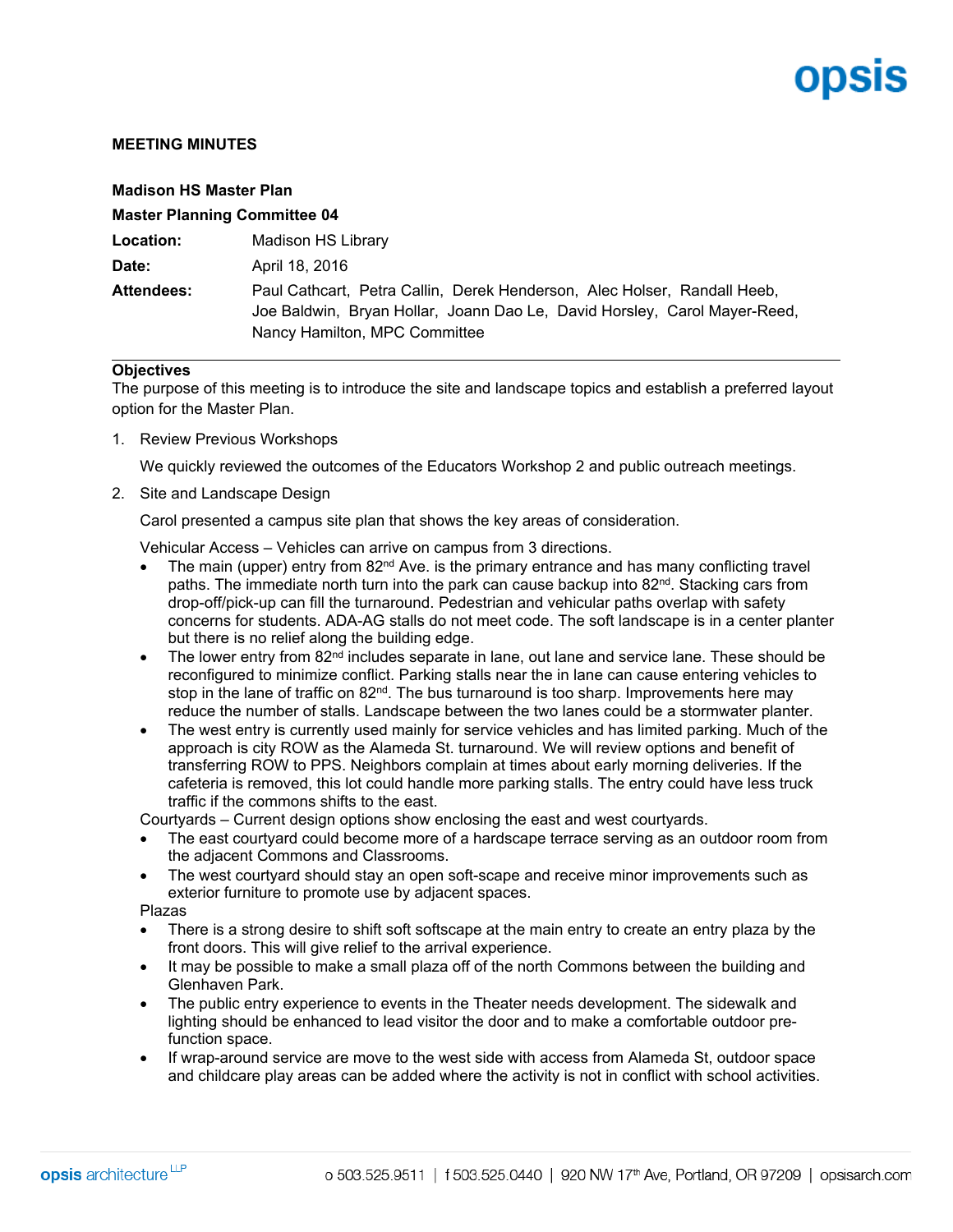# ODSIS

### **MEETING MINUTES**

| <b>Madison HS Master Plan</b>       |                                                                                                                                                                                        |
|-------------------------------------|----------------------------------------------------------------------------------------------------------------------------------------------------------------------------------------|
| <b>Master Planning Committee 04</b> |                                                                                                                                                                                        |
| Location:                           | Madison HS Library                                                                                                                                                                     |
| Date:                               | April 18, 2016                                                                                                                                                                         |
| <b>Attendees:</b>                   | Paul Cathcart, Petra Callin, Derek Henderson, Alec Holser, Randall Heeb,<br>Joe Baldwin, Bryan Hollar, Joann Dao Le, David Horsley, Carol Mayer-Reed,<br>Nancy Hamilton, MPC Committee |

### **Objectives**

The purpose of this meeting is to introduce the site and landscape topics and establish a preferred layout option for the Master Plan.

1. Review Previous Workshops

We quickly reviewed the outcomes of the Educators Workshop 2 and public outreach meetings.

2. Site and Landscape Design

Carol presented a campus site plan that shows the key areas of consideration.

Vehicular Access – Vehicles can arrive on campus from 3 directions.

- The main (upper) entry from  $82<sup>nd</sup>$  Ave. is the primary entrance and has many conflicting travel paths. The immediate north turn into the park can cause backup into 82<sup>nd</sup>. Stacking cars from drop-off/pick-up can fill the turnaround. Pedestrian and vehicular paths overlap with safety concerns for students. ADA-AG stalls do not meet code. The soft landscape is in a center planter but there is no relief along the building edge.
- The lower entry from 82<sup>nd</sup> includes separate in lane, out lane and service lane. These should be reconfigured to minimize conflict. Parking stalls near the in lane can cause entering vehicles to stop in the lane of traffic on 82<sup>nd</sup>. The bus turnaround is too sharp. Improvements here may reduce the number of stalls. Landscape between the two lanes could be a stormwater planter.
- The west entry is currently used mainly for service vehicles and has limited parking. Much of the approach is city ROW as the Alameda St. turnaround. We will review options and benefit of transferring ROW to PPS. Neighbors complain at times about early morning deliveries. If the cafeteria is removed, this lot could handle more parking stalls. The entry could have less truck traffic if the commons shifts to the east.

Courtyards – Current design options show enclosing the east and west courtyards.

- The east courtyard could become more of a hardscape terrace serving as an outdoor room from the adjacent Commons and Classrooms.
- The west courtyard should stay an open soft-scape and receive minor improvements such as exterior furniture to promote use by adjacent spaces.

Plazas

- There is a strong desire to shift soft softscape at the main entry to create an entry plaza by the front doors. This will give relief to the arrival experience.
- It may be possible to make a small plaza off of the north Commons between the building and Glenhaven Park.
- The public entry experience to events in the Theater needs development. The sidewalk and lighting should be enhanced to lead visitor the door and to make a comfortable outdoor prefunction space.
- If wrap-around service are move to the west side with access from Alameda St, outdoor space and childcare play areas can be added where the activity is not in conflict with school activities.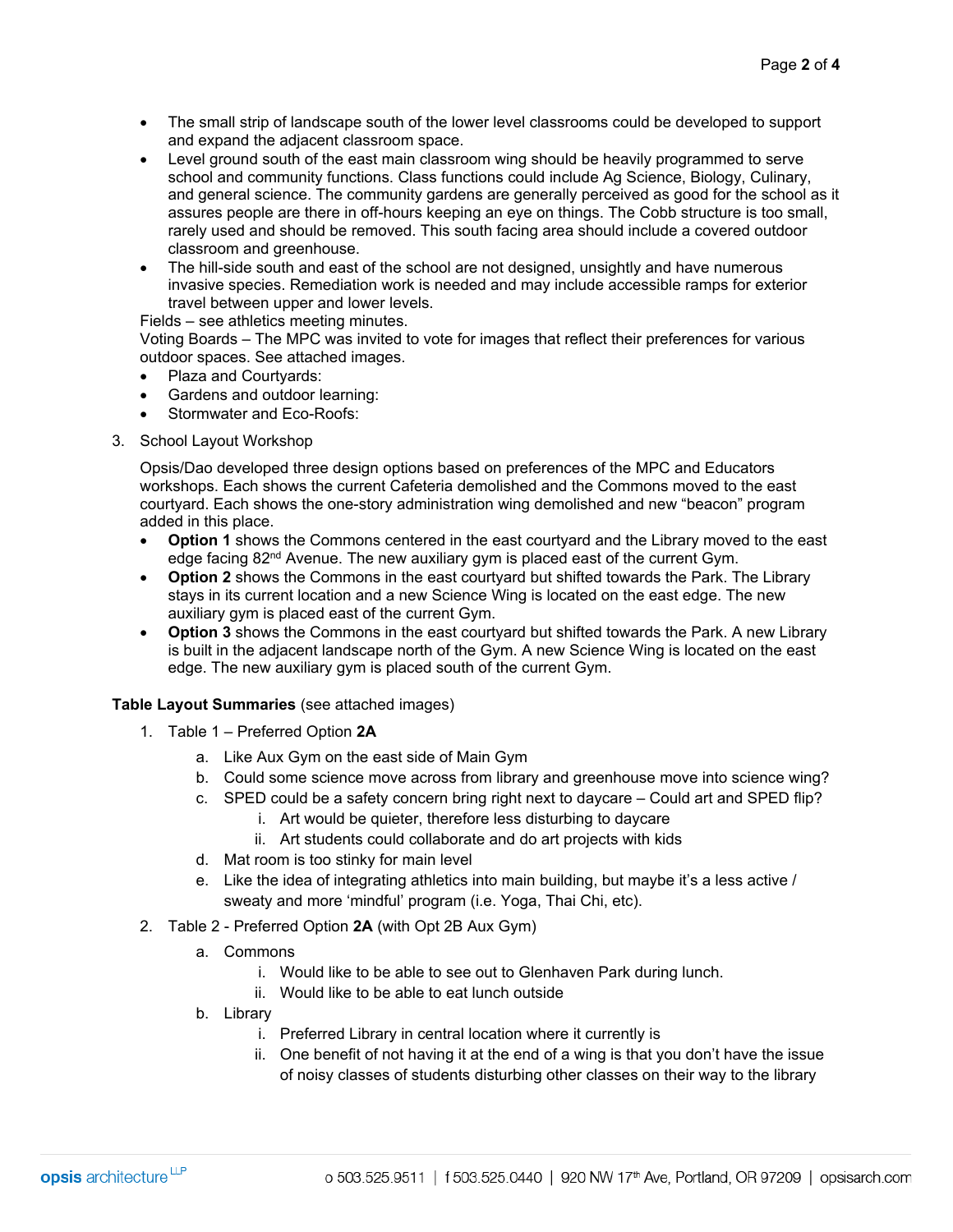- The small strip of landscape south of the lower level classrooms could be developed to support and expand the adjacent classroom space.
- Level ground south of the east main classroom wing should be heavily programmed to serve school and community functions. Class functions could include Ag Science, Biology, Culinary, and general science. The community gardens are generally perceived as good for the school as it assures people are there in off-hours keeping an eye on things. The Cobb structure is too small, rarely used and should be removed. This south facing area should include a covered outdoor classroom and greenhouse.
- The hill-side south and east of the school are not designed, unsightly and have numerous invasive species. Remediation work is needed and may include accessible ramps for exterior travel between upper and lower levels.

Fields – see athletics meeting minutes.

Voting Boards – The MPC was invited to vote for images that reflect their preferences for various outdoor spaces. See attached images.

- Plaza and Courtyards:
- Gardens and outdoor learning:
- Stormwater and Eco-Roofs:
- 3. School Layout Workshop

Opsis/Dao developed three design options based on preferences of the MPC and Educators workshops. Each shows the current Cafeteria demolished and the Commons moved to the east courtyard. Each shows the one-story administration wing demolished and new "beacon" program added in this place.

- **Option 1** shows the Commons centered in the east courtyard and the Library moved to the east edge facing  $82<sup>nd</sup>$  Avenue. The new auxiliary gym is placed east of the current Gym.
- **Option 2** shows the Commons in the east courtyard but shifted towards the Park. The Library stays in its current location and a new Science Wing is located on the east edge. The new auxiliary gym is placed east of the current Gym.
- **Option 3** shows the Commons in the east courtyard but shifted towards the Park. A new Library is built in the adjacent landscape north of the Gym. A new Science Wing is located on the east edge. The new auxiliary gym is placed south of the current Gym.

### **Table Layout Summaries** (see attached images)

- 1. Table 1 Preferred Option **2A**
	- a. Like Aux Gym on the east side of Main Gym
	- b. Could some science move across from library and greenhouse move into science wing?
	- c. SPED could be a safety concern bring right next to daycare Could art and SPED flip?
		- i. Art would be quieter, therefore less disturbing to daycare
		- ii. Art students could collaborate and do art projects with kids
	- d. Mat room is too stinky for main level
	- e. Like the idea of integrating athletics into main building, but maybe it's a less active / sweaty and more 'mindful' program (i.e. Yoga, Thai Chi, etc).
- 2. Table 2 Preferred Option **2A** (with Opt 2B Aux Gym)
	- a. Commons
		- i. Would like to be able to see out to Glenhaven Park during lunch.
		- ii. Would like to be able to eat lunch outside
	- b. Library
		- i. Preferred Library in central location where it currently is
		- ii. One benefit of not having it at the end of a wing is that you don't have the issue of noisy classes of students disturbing other classes on their way to the library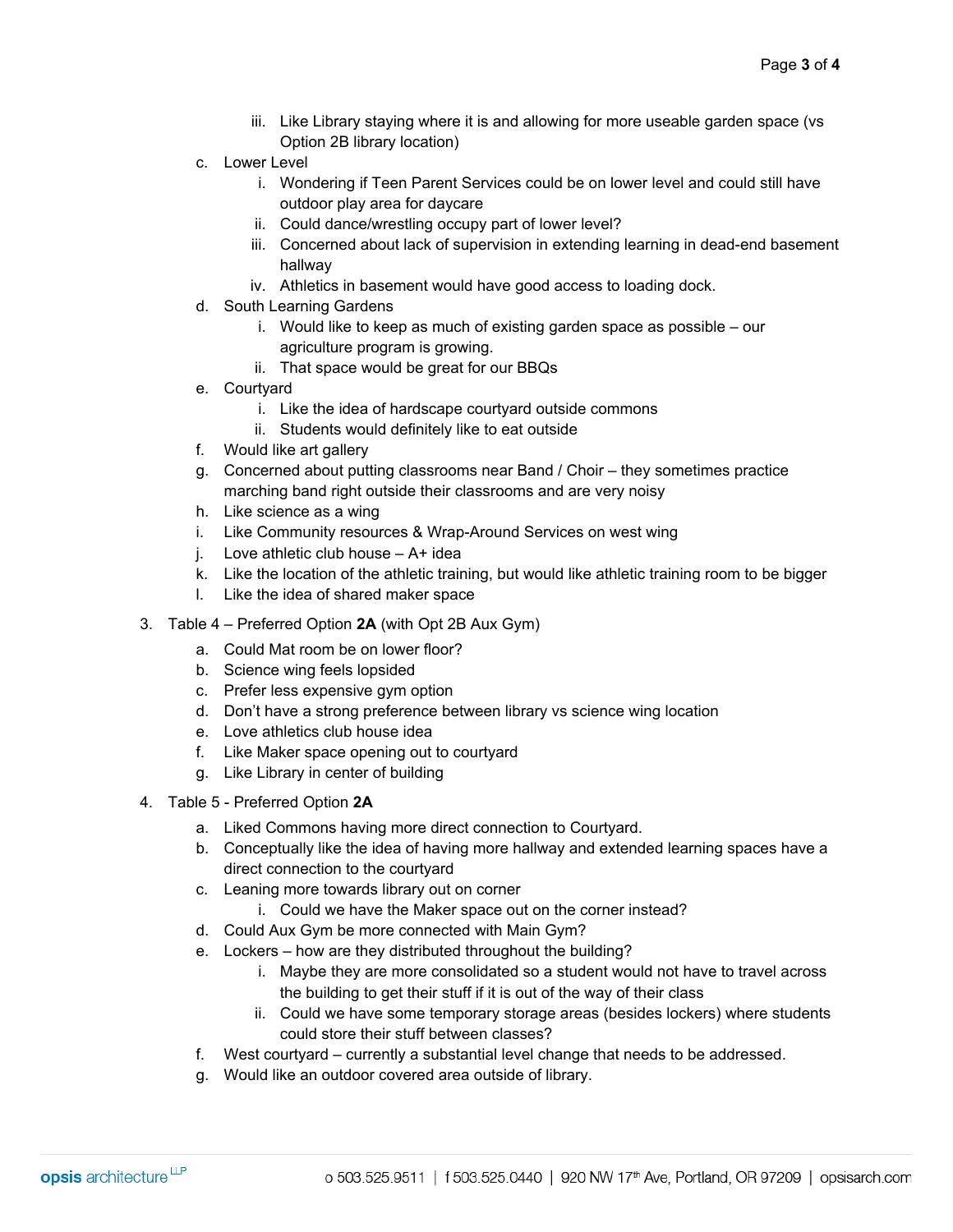- iii. Like Library staying where it is and allowing for more useable garden space (vs Option 2B library location)
- c. Lower Level
	- i. Wondering if Teen Parent Services could be on lower level and could still have outdoor play area for daycare
	- ii. Could dance/wrestling occupy part of lower level?
	- iii. Concerned about lack of supervision in extending learning in dead-end basement hallway
	- iv. Athletics in basement would have good access to loading dock.
- d. South Learning Gardens
	- i. Would like to keep as much of existing garden space as possible our agriculture program is growing.
	- ii. That space would be great for our BBQs
- e. Courtyard
	- i. Like the idea of hardscape courtyard outside commons
	- ii. Students would definitely like to eat outside
- f. Would like art gallery
- g. Concerned about putting classrooms near Band / Choir they sometimes practice marching band right outside their classrooms and are very noisy
- h. Like science as a wing
- i. Like Community resources & Wrap-Around Services on west wing
- j. Love athletic club house A+ idea
- k. Like the location of the athletic training, but would like athletic training room to be bigger
- l. Like the idea of shared maker space
- 3. Table 4 Preferred Option **2A** (with Opt 2B Aux Gym)
	- a. Could Mat room be on lower floor?
	- b. Science wing feels lopsided
	- c. Prefer less expensive gym option
	- d. Don't have a strong preference between library vs science wing location
	- e. Love athletics club house idea
	- f. Like Maker space opening out to courtyard
	- g. Like Library in center of building
- 4. Table 5 Preferred Option **2A**
	- a. Liked Commons having more direct connection to Courtyard.
	- b. Conceptually like the idea of having more hallway and extended learning spaces have a direct connection to the courtyard
	- c. Leaning more towards library out on corner
		- i. Could we have the Maker space out on the corner instead?
	- d. Could Aux Gym be more connected with Main Gym?
	- e. Lockers how are they distributed throughout the building?
		- i. Maybe they are more consolidated so a student would not have to travel across the building to get their stuff if it is out of the way of their class
		- ii. Could we have some temporary storage areas (besides lockers) where students could store their stuff between classes?
	- f. West courtyard currently a substantial level change that needs to be addressed.
	- g. Would like an outdoor covered area outside of library.